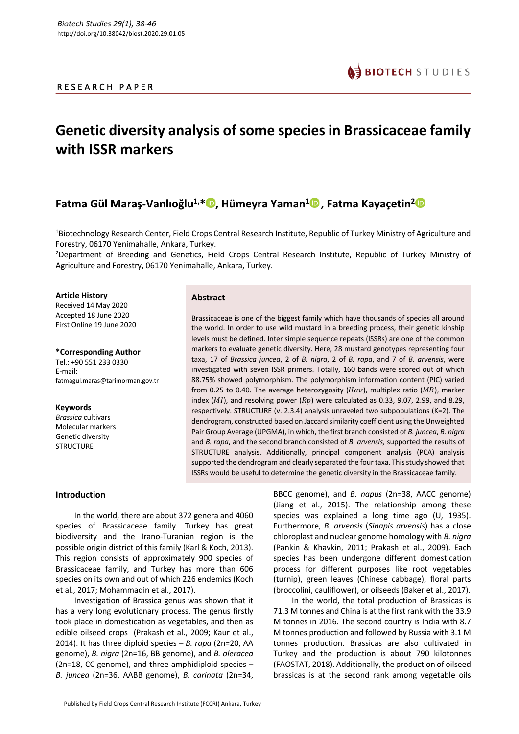# R E S E A R C H P A P E R

# **Genetic diversity analysis of some species in Brassicaceae family with ISSR markers**

# **Fatma Gül Maraş-Vanlıoğlu<sup>1,\*</sup> D, Hümeyra Yaman<sup>1</sup> D, Fatma Kayaçetin<sup>2</sup> D**

<sup>1</sup>Biotechnology Research Center, Field Crops Central Research Institute, Republic of Turkey Ministry of Agriculture and Forestry, 06170 Yenimahalle, Ankara, Turkey.

<sup>2</sup>Department of Breeding and Genetics, Field Crops Central Research Institute, Republic of Turkey Ministry of Agriculture and Forestry, 06170 Yenimahalle, Ankara, Turkey.

#### **Article History**

Received 14 May 2020 Accepted 18 June 2020 First Online 19 June 2020

**\*Corresponding Author** Tel.: +90 551 233 0330 E-mail: fatmagul.maras@tarimorman.gov.tr

**Keywords** *Brassica* cultivars Molecular markers Genetic diversity **STRUCTURE** 

# **Abstract**

Brassicaceae is one of the biggest family which have thousands of species all around the world. In order to use wild mustard in a breeding process, their genetic kinship levels must be defined. Inter simple sequence repeats (ISSRs) are one of the common markers to evaluate genetic diversity. Here, 28 mustard genotypes representing four taxa, 17 of *Brassica juncea*, 2 of *B. nigra*, 2 of *B. rapa*, and 7 of *B. arvensis*, were investigated with seven ISSR primers. Totally, 160 bands were scored out of which 88.75% showed polymorphism. The polymorphism information content (PIC) varied from 0.25 to 0.40. The average heterozygosity ( $Hav$ ), multiplex ratio ( $MR$ ), marker index (MI), and resolving power ( $Rp$ ) were calculated as 0.33, 9.07, 2.99, and 8.29, respectively. STRUCTURE (v. 2.3.4) analysis unraveled two subpopulations (K=2). The dendrogram, constructed based on Jaccard similarity coefficient using the Unweighted Pair Group Average (UPGMA), in which, the first branch consisted of *B. juncea*, *B. nigra* and *B. rapa*, and the second branch consisted of *B. arvensis,* supported the results of STRUCTURE analysis. Additionally, principal component analysis (PCA) analysis supported the dendrogram and clearly separated the four taxa. This study showed that ISSRs would be useful to determine the genetic diversity in the Brassicaceae family.

# **Introduction**

In the world, there are about 372 genera and 4060 species of Brassicaceae family. Turkey has great biodiversity and the Irano-Turanian region is the possible origin district of this family (Karl & Koch, 2013). This region consists of approximately 900 species of Brassicaceae family, and Turkey has more than 606 species on its own and out of which 226 endemics (Koch et al., 2017; Mohammadin et al., 2017).

Investigation of Brassica genus was shown that it has a very long evolutionary process. The genus firstly took place in domestication as vegetables, and then as edible oilseed crops (Prakash et al., 2009; Kaur et al., 2014). It has three diploid species – *B. rapa* (2n=20, AA genome), *B. nigra* (2n=16, BB genome), and *B. oleracea* (2n=18, CC genome), and three amphidiploid species – *B. juncea* (2n=36, AABB genome), *B. carinata* (2n=34, BBCC genome), and *B. napus* (2n=38, AACC genome) (Jiang et al., 2015). The relationship among these species was explained a long time ago (U, 1935). Furthermore, *B. arvensis* (*Sinapis arvensis*) has a close chloroplast and nuclear genome homology with *B. nigra*  (Pankin & Khavkin, 2011; Prakash et al., 2009). Each species has been undergone different domestication process for different purposes like root vegetables (turnip), green leaves (Chinese cabbage), floral parts (broccolini, cauliflower), or oilseeds (Baker et al., 2017).

In the world, the total production of Brassicas is 71.3 M tonnes and China is at the first rank with the 33.9 M tonnes in 2016. The second country is India with 8.7 M tonnes production and followed by Russia with 3.1 M tonnes production. Brassicas are also cultivated in Turkey and the production is about 790 kilotonnes (FAOSTAT, 2018). Additionally, the production of oilseed brassicas is at the second rank among vegetable oils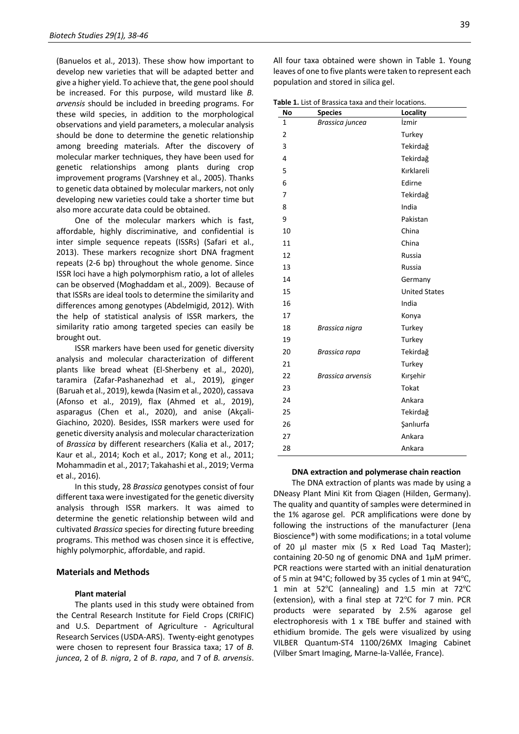(Banuelos et al., 2013). These show how important to develop new varieties that will be adapted better and give a higher yield. To achieve that, the gene pool should be increased. For this purpose, wild mustard like *B. arvensis* should be included in breeding programs. For these wild species, in addition to the morphological observations and yield parameters, a molecular analysis should be done to determine the genetic relationship among breeding materials. After the discovery of molecular marker techniques, they have been used for genetic relationships among plants during crop improvement programs (Varshney et al., 2005). Thanks to genetic data obtained by molecular markers, not only developing new varieties could take a shorter time but also more accurate data could be obtained.

One of the molecular markers which is fast, affordable, highly discriminative, and confidential is inter simple sequence repeats (ISSRs) (Safari et al., 2013). These markers recognize short DNA fragment repeats (2-6 bp) throughout the whole genome. Since ISSR loci have a high polymorphism ratio, a lot of alleles can be observed (Moghaddam et al., 2009). Because of that ISSRs are ideal tools to determine the similarity and differences among genotypes (Abdelmigid, 2012). With the help of statistical analysis of ISSR markers, the similarity ratio among targeted species can easily be brought out.

ISSR markers have been used for genetic diversity analysis and molecular characterization of different plants like bread wheat (El-Sherbeny et al., 2020), taramira (Zafar-Pashanezhad et al., 2019), ginger (Baruah et al., 2019), kewda (Nasim et al., 2020), cassava (Afonso et al., 2019), flax (Ahmed et al., 2019), asparagus (Chen et al., 2020), and anise (Akçali-Giachino, 2020). Besides, ISSR markers were used for genetic diversity analysis and molecular characterization of *Brassica* by different researchers (Kalia et al., 2017; Kaur et al., 2014; Koch et al., 2017; Kong et al., 2011; Mohammadin et al., 2017; Takahashi et al., 2019; Verma et al., 2016).

In this study, 28 *Brassica* genotypes consist of four different taxa were investigated for the genetic diversity analysis through ISSR markers. It was aimed to determine the genetic relationship between wild and cultivated *Brassica* species for directing future breeding programs. This method was chosen since it is effective, highly polymorphic, affordable, and rapid.

# **Materials and Methods**

#### **Plant material**

The plants used in this study were obtained from the Central Research Institute for Field Crops (CRIFIC) and U.S. Department of Agriculture - Agricultural Research Services (USDA-ARS). Twenty-eight genotypes were chosen to represent four Brassica taxa; 17 of *B. juncea*, 2 of *B. nigra*, 2 of *B*. *rapa*, and 7 of *B. arvensis*.

All four taxa obtained were shown in Table 1. Young leaves of one to five plants were taken to represent each population and stored in silica gel.

**Table 1.** List of Brassica taxa and their locations.

| No             | <b>Species</b>           | Locality             |
|----------------|--------------------------|----------------------|
| $\mathbf{1}$   | Brassica juncea          | İzmir                |
| $\overline{2}$ |                          | Turkey               |
| 3              |                          | Tekirdağ             |
| 4              |                          | Tekirdağ             |
| 5              |                          | Kırklareli           |
| 6              |                          | Edirne               |
| 7              |                          | Tekirdağ             |
| 8              |                          | India                |
| 9              |                          | Pakistan             |
| 10             |                          | China                |
| 11             |                          | China                |
| 12             |                          | Russia               |
| 13             |                          | Russia               |
| 14             |                          | Germany              |
| 15             |                          | <b>United States</b> |
| 16             |                          | India                |
| 17             |                          | Konya                |
| 18             | Brassica nigra           | Turkey               |
| 19             |                          | Turkey               |
| 20             | Brassica rapa            | Tekirdağ             |
| 21             |                          | Turkey               |
| 22             | <b>Brassica arvensis</b> | Kırşehir             |
| 23             |                          | Tokat                |
| 24             |                          | Ankara               |
| 25             |                          | Tekirdağ             |
| 26             |                          | Şanlıurfa            |
| 27             |                          | Ankara               |
| 28             |                          | Ankara               |

#### **DNA extraction and polymerase chain reaction**

The DNA extraction of plants was made by using a DNeasy Plant Mini Kit from Qiagen (Hilden, Germany). The quality and quantity of samples were determined in the 1% agarose gel. PCR amplifications were done by following the instructions of the manufacturer (Jena Bioscience®) with some modifications; in a total volume of 20 µl master mix (5 x Red Load Taq Master); containing 20-50 ng of genomic DNA and 1µM primer. PCR reactions were started with an initial denaturation of 5 min at 94°C; followed by 35 cycles of 1 min at 94℃, 1 min at 52℃ (annealing) and 1.5 min at 72℃ (extension), with a final step at 72℃ for 7 min. PCR products were separated by 2.5% agarose gel electrophoresis with 1 x TBE buffer and stained with ethidium bromide. The gels were visualized by using VILBER Quantum-ST4 1100/26MX Imaging Cabinet (Vilber Smart Imaging, Marne-la-Vallée, France).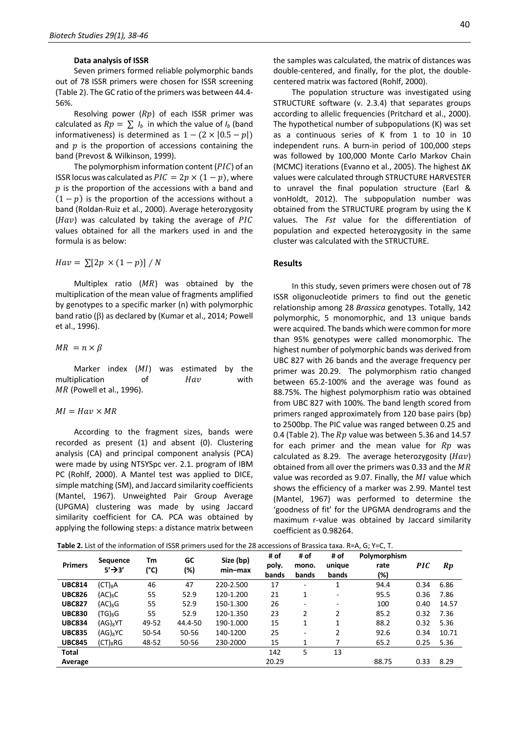#### **Data analysis of ISSR**

Seven primers formed reliable polymorphic bands out of 78 ISSR primers were chosen for ISSR screening (Table 2). The GC ratio of the primers was between 44.4- 56%.

Resolving power  $(Rp)$  of each ISSR primer was calculated as  $Rp = \sum I_b$  in which the value of  $I_b$  (band informativeness) is determined as  $1 - (2 \times |0.5 - p|)$ and  $p$  is the proportion of accessions containing the band (Prevost & Wilkinson, 1999).

The polymorphism information content ( $PIC$ ) of an ISSR locus was calculated as  $PIC = 2p \times (1 - p)$ , where  $p$  is the proportion of the accessions with a band and  $(1-p)$  is the proportion of the accessions without a band (Roldan-Ruiz et al., 2000). Average heterozygosity  $(Hav)$  was calculated by taking the average of PIC values obtained for all the markers used in and the formula is as below:

 $Hav = \sum [2p \times (1-p)] / N$ 

Multiplex ratio  $(MR)$  was obtained by the multiplication of the mean value of fragments amplified by genotypes to a specific marker (n) with polymorphic band ratio ( $\beta$ ) as declared by (Kumar et al., 2014; Powell et al., 1996).

 $MR = n \times \beta$ 

Marker index  $(MI)$  was estimated by the multiplication of *Hav* with MR (Powell et al., 1996).

# $MI = Hav \times MR$

According to the fragment sizes, bands were recorded as present (1) and absent (0). Clustering analysis (CA) and principal component analysis (PCA) were made by using NTSYSpc ver. 2.1. program of IBM PC (Rohlf, 2000). A Mantel test was applied to DICE, simple matching (SM), and Jaccard similarity coefficients (Mantel, 1967). Unweighted Pair Group Average (UPGMA) clustering was made by using Jaccard similarity coefficient for CA. PCA was obtained by applying the following steps: a distance matrix between the samples was calculated, the matrix of distances was double-centered, and finally, for the plot, the doublecentered matrix was factored (Rohlf, 2000).

The population structure was investigated using STRUCTURE software (v. 2.3.4) that separates groups according to allelic frequencies (Pritchard et al., 2000). The hypothetical number of subpopulations (K) was set as a continuous series of K from 1 to 10 in 10 independent runs. A burn-in period of 100,000 steps was followed by 100,000 Monte Carlo Markov Chain (MCMC) iterations (Evanno et al., 2005). The highest ΔK values were calculated through STRUCTURE HARVESTER to unravel the final population structure (Earl & vonHoldt, 2012). The subpopulation number was obtained from the STRUCTURE program by using the K values. The *Fst* value for the differentiation of population and expected heterozygosity in the same cluster was calculated with the STRUCTURE.

# **Results**

In this study, seven primers were chosen out of 78 ISSR oligonucleotide primers to find out the genetic relationship among 28 *Brassica* genotypes. Totally, 142 polymorphic, 5 monomorphic, and 13 unique bands were acquired. The bands which were common for more than 95% genotypes were called monomorphic. The highest number of polymorphic bands was derived from UBC 827 with 26 bands and the average frequency per primer was 20.29. The polymorphism ratio changed between 65.2-100% and the average was found as 88.75%. The highest polymorphism ratio was obtained from UBC 827 with 100%. The band length scored from primers ranged approximately from 120 base pairs (bp) to 2500bp. The PIC value was ranged between 0.25 and 0.4 (Table 2). The  $Rp$  value was between 5.36 and 14.57 for each primer and the mean value for  $Rp$  was calculated as 8.29. The average heterozygosity ( $\hat{H}av$ ) obtained from all over the primers was 0.33 and the  $MR$ value was recorded as 9.07. Finally, the  $MI$  value which shows the efficiency of a marker was 2.99. Mantel test (Mantel, 1967) was performed to determine the 'goodness of fit' for the UPGMA dendrograms and the maximum r-value was obtained by Jaccard similarity coefficient as 0.98264.

**Table 2.** List of the information of ISSR primers used for the 28 accessions of Brassica taxa. R=A, G; Y=C, T.

| <b>Primers</b> | <b>Sequence</b><br>$5'$ <sup>3'</sup> | Tm<br>(°C) | GC<br>(%) | Size (bp)<br>min-max | # of<br>poly.<br>bands | # of<br>mono.<br>bands   | # of<br>unique<br>bands  | Polymorphism<br>rate<br>(%) | <b>PIC</b> | $\boldsymbol{R}\boldsymbol{p}$ |
|----------------|---------------------------------------|------------|-----------|----------------------|------------------------|--------------------------|--------------------------|-----------------------------|------------|--------------------------------|
| <b>UBC814</b>  | $(CT)_8$ A                            | 46         | 47        | 220-2.500            | 17                     | ٠                        | 1                        | 94.4                        | 0.34       | 6.86                           |
| <b>UBC826</b>  | $(AC)_8C$                             | 55         | 52.9      | 120-1.200            | 21                     | 1                        | $\overline{\phantom{a}}$ | 95.5                        | 0.36       | 7.86                           |
| <b>UBC827</b>  | $(AC)_8G$                             | 55         | 52.9      | 150-1.300            | 26                     | $\overline{\phantom{a}}$ | $\overline{\phantom{0}}$ | 100                         | 0.40       | 14.57                          |
| <b>UBC830</b>  | $(G)_{8}G$                            | 55         | 52.9      | 120-1.350            | 23                     | 2                        | 2                        | 85.2                        | 0.32       | 7.36                           |
| <b>UBC834</b>  | $(AG)_{8}$ YT                         | 49-52      | 44.4-50   | 190-1.000            | 15                     | $\mathbf{1}$             | 1                        | 88.2                        | 0.32       | 5.36                           |
| <b>UBC835</b>  | (AG) <sub>8</sub> YC                  | 50-54      | 50-56     | 140-1200             | 25                     | $\overline{\phantom{0}}$ | 2                        | 92.6                        | 0.34       | 10.71                          |
| <b>UBC845</b>  | $(CT)_8RG$                            | 48-52      | 50-56     | 230-2000             | 15                     | 1                        |                          | 65.2                        | 0.25       | 5.36                           |
| Total          |                                       |            |           |                      | 142                    | 5                        | 13                       |                             |            |                                |
| Average        |                                       |            |           |                      | 20.29                  |                          |                          | 88.75                       | 0.33       | 8.29                           |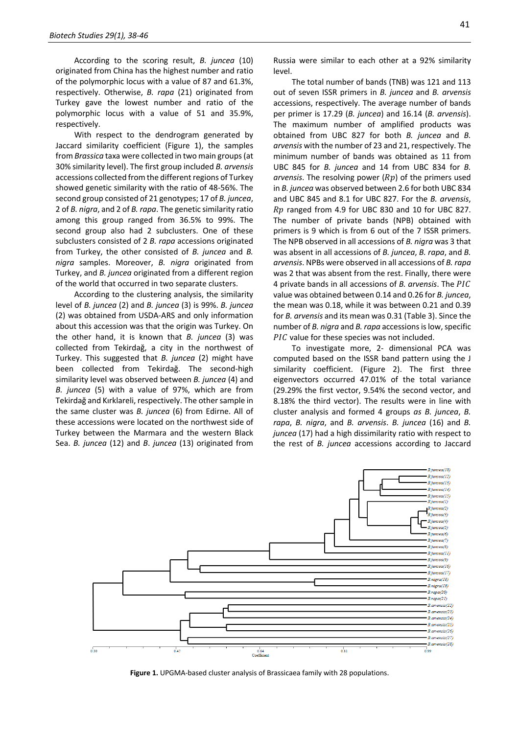According to the scoring result, *B. juncea* (10) originated from China has the highest number and ratio of the polymorphic locus with a value of 87 and 61.3%, respectively. Otherwise, *B. rapa* (21) originated from Turkey gave the lowest number and ratio of the polymorphic locus with a value of 51 and 35.9%, respectively.

With respect to the dendrogram generated by Jaccard similarity coefficient (Figure 1), the samples from *Brassica* taxa were collected in two main groups (at 30% similarity level). The first group included *B. arvensis* accessions collected from the different regions of Turkey showed genetic similarity with the ratio of 48-56%. The second group consisted of 21 genotypes; 17 of *B. juncea*, 2 of *B. nigra*, and 2 of *B. rapa*. The genetic similarity ratio among this group ranged from 36.5% to 99%. The second group also had 2 subclusters. One of these subclusters consisted of 2 *B. rapa* accessions originated from Turkey, the other consisted of *B. juncea* and *B. nigra* samples. Moreover, *B. nigra* originated from Turkey, and *B. juncea* originated from a different region of the world that occurred in two separate clusters.

According to the clustering analysis, the similarity level of *B. juncea* (2) and *B. juncea* (3) is 99%. *B. juncea* (2) was obtained from USDA-ARS and only information about this accession was that the origin was Turkey. On the other hand, it is known that *B. juncea* (3) was collected from Tekirdağ, a city in the northwest of Turkey. This suggested that *B. juncea* (2) might have been collected from Tekirdağ. The second-high similarity level was observed between *B. juncea* (4) and *B. juncea* (5) with a value of 97%, which are from Tekirdağ and Kırklareli, respectively. The other sample in the same cluster was *B. juncea* (6) from Edirne. All of these accessions were located on the northwest side of Turkey between the Marmara and the western Black Sea. *B. juncea* (12) and *B*. *juncea* (13) originated from Russia were similar to each other at a 92% similarity level.

The total number of bands (TNB) was 121 and 113 out of seven ISSR primers in *B. juncea* and *B. arvensis* accessions, respectively. The average number of bands per primer is 17.29 (*B. juncea*) and 16.14 (*B. arvensis*). The maximum number of amplified products was obtained from UBC 827 for both *B. juncea* and *B. arvensis* with the number of 23 and 21, respectively. The minimum number of bands was obtained as 11 from UBC 845 for *B. juncea* and 14 from UBC 834 for *B. arvensis*. The resolving power  $(Rp)$  of the primers used in *B. juncea* was observed between 2.6 for both UBC 834 and UBC 845 and 8.1 for UBC 827. For the *B. arvensis*,  $Rp$  ranged from 4.9 for UBC 830 and 10 for UBC 827. The number of private bands (NPB) obtained with primers is 9 which is from 6 out of the 7 ISSR primers. The NPB observed in all accessions of *B. nigra* was 3 that was absent in all accessions of *B. juncea*, *B. rapa*, and *B. arvensis*. NPBs were observed in all accessions of *B. rapa* was 2 that was absent from the rest. Finally, there were 4 private bands in all accessions of *B. arvensis*. The value was obtained between 0.14 and 0.26 for *B. juncea*, the mean was 0.18, while it was between 0.21 and 0.39 for *B. arvensis* and its mean was 0.31 (Table 3). Since the number of *B. nigra* and *B. rapa* accessions is low, specific  $PIC$  value for these species was not included.

To investigate more, 2- dimensional PCA was computed based on the ISSR band pattern using the J similarity coefficient. (Figure 2). The first three eigenvectors occurred 47.01% of the total variance (29.29% the first vector, 9.54% the second vector, and 8.18% the third vector). The results were in line with cluster analysis and formed 4 groups *as B. juncea*, *B. rapa*, *B. nigra*, and *B. arvensis*. *B. juncea* (16) and *B. juncea* (17) had a high dissimilarity ratio with respect to the rest of *B. juncea* accessions according to Jaccard



**Figure 1.** UPGMA-based cluster analysis of Brassicaea family with 28 populations.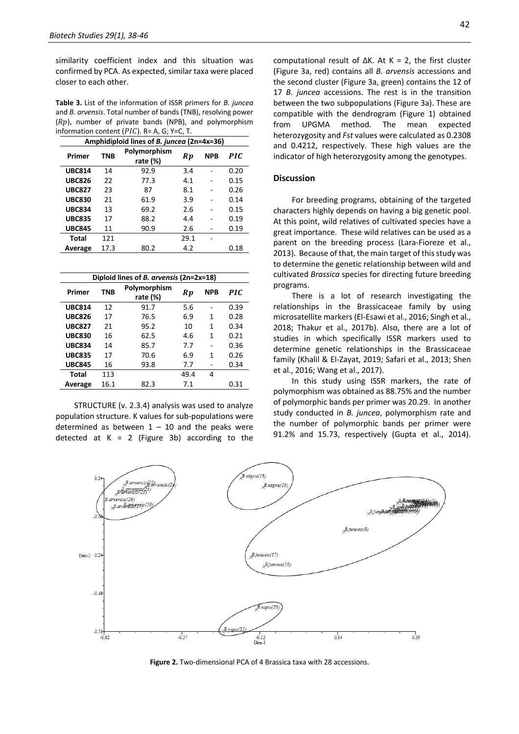similarity coefficient index and this situation was confirmed by PCA. As expected, similar taxa were placed closer to each other.

**Table 3.** List of the information of ISSR primers for *B. juncea* and *B. arvensis*. Total number of bands (TNB), resolving power  $(Rp)$ , number of private bands (NPB), and polymorphism information content ( $PIC$ ). R= A, G; Y=C, T.

| Amphidiploid lines of B. juncea (2n=4x=36) |            |                          |      |            |            |  |  |
|--------------------------------------------|------------|--------------------------|------|------------|------------|--|--|
| Primer                                     | <b>TNB</b> | Polymorphism<br>rate (%) | Rp   | <b>NPB</b> | <b>PIC</b> |  |  |
| <b>UBC814</b>                              | 14         | 92.9                     | 3.4  |            | 0.20       |  |  |
| <b>UBC826</b>                              | 22         | 77.3                     | 4.1  |            | 0.15       |  |  |
| <b>UBC827</b>                              | 23         | 87                       | 8.1  |            | 0.26       |  |  |
| <b>UBC830</b>                              | 21         | 61.9                     | 3.9  |            | 0.14       |  |  |
| <b>UBC834</b>                              | 13         | 69.2                     | 2.6  |            | 0.15       |  |  |
| <b>UBC835</b>                              | 17         | 88.2                     | 4.4  |            | 0.19       |  |  |
| <b>UBC845</b>                              | 11         | 90.9                     | 2.6  |            | 0.19       |  |  |
| Total                                      | 121        |                          | 29.1 |            |            |  |  |
| Average                                    | 17.3       | 80.2                     | 4.2  |            | 0.18       |  |  |

| Diploid lines of <i>B. arvensis</i> (2n=2x=18) |      |                          |      |            |      |  |  |  |
|------------------------------------------------|------|--------------------------|------|------------|------|--|--|--|
| Primer                                         | TNB  | Polymorphism<br>rate (%) | Rp   | <b>NPB</b> | PIC. |  |  |  |
| <b>UBC814</b>                                  | 12   | 91.7                     | 5.6  |            | 0.39 |  |  |  |
| <b>UBC826</b>                                  | 17   | 76.5                     | 6.9  | 1          | 0.28 |  |  |  |
| <b>UBC827</b>                                  | 21   | 95.2                     | 10   | 1          | 0.34 |  |  |  |
| <b>UBC830</b>                                  | 16   | 62.5                     | 4.6  | 1          | 0.21 |  |  |  |
| <b>UBC834</b>                                  | 14   | 85.7                     | 7.7  |            | 0.36 |  |  |  |
| <b>UBC835</b>                                  | 17   | 70.6                     | 6.9  | 1          | 0.26 |  |  |  |
| <b>UBC845</b>                                  | 16   | 93.8                     | 7.7  |            | 0.34 |  |  |  |
| Total                                          | 113  |                          | 49.4 | 4          |      |  |  |  |
| Average                                        | 16.1 | 82.3                     | 7.1  |            | 0.31 |  |  |  |

STRUCTURE (v. 2.3.4) analysis was used to analyze population structure. K values for sub-populations were determined as between  $1 - 10$  and the peaks were detected at  $K = 2$  (Figure 3b) according to the computational result of ΔK. At K = 2, the first cluster (Figure 3a, red) contains all *B. arvensis* accessions and the second cluster (Figure 3a, green) contains the 12 of 17 *B. juncea* accessions. The rest is in the transition between the two subpopulations (Figure 3a). These are compatible with the dendrogram (Figure 1) obtained from UPGMA method. The mean expected heterozygosity and *Fst* values were calculated as 0.2308 and 0.4212, respectively. These high values are the indicator of high heterozygosity among the genotypes.

# **Discussion**

For breeding programs, obtaining of the targeted characters highly depends on having a big genetic pool. At this point, wild relatives of cultivated species have a great importance. These wild relatives can be used as a parent on the breeding process (Lara-Fioreze et al., 2013). Because of that, the main target of this study was to determine the genetic relationship between wild and cultivated *Brassica* species for directing future breeding programs.

There is a lot of research investigating the relationships in the Brassicaceae family by using microsatellite markers (El-Esawi et al., 2016; Singh et al., 2018; Thakur et al., 2017b). Also, there are a lot of studies in which specifically ISSR markers used to determine genetic relationships in the Brassicaceae family (Khalil & El-Zayat, 2019; Safari et al., 2013; Shen et al., 2016; Wang et al., 2017).

In this study using ISSR markers, the rate of polymorphism was obtained as 88.75% and the number of polymorphic bands per primer was 20.29. In another study conducted in *B. juncea*, polymorphism rate and the number of polymorphic bands per primer were 91.2% and 15.73, respectively (Gupta et al., 2014).



**Figure 2.** Two-dimensional PCA of 4 Brassica taxa with 28 accessions.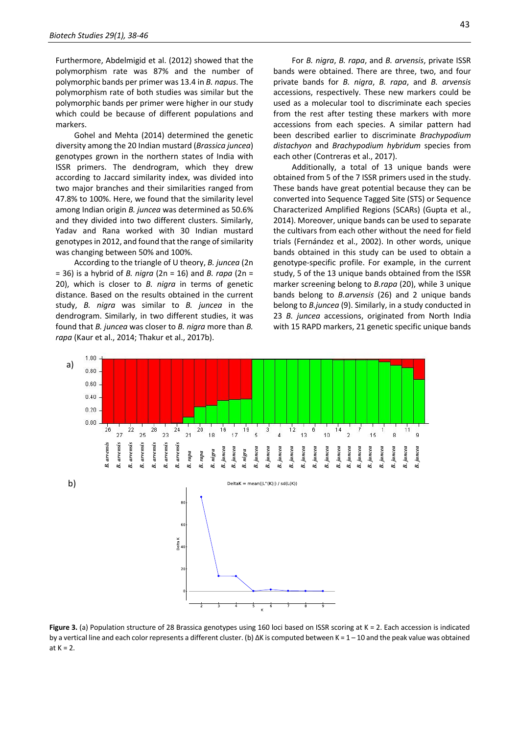Furthermore, Abdelmigid et al. (2012) showed that the polymorphism rate was 87% and the number of polymorphic bands per primer was 13.4 in *B. napus*. The polymorphism rate of both studies was similar but the polymorphic bands per primer were higher in our study which could be because of different populations and markers.

Gohel and Mehta (2014) determined the genetic diversity among the 20 Indian mustard (*Brassica juncea*) genotypes grown in the northern states of India with ISSR primers. The dendrogram, which they drew according to Jaccard similarity index, was divided into two major branches and their similarities ranged from 47.8% to 100%. Here, we found that the similarity level among Indian origin *B. juncea* was determined as 50.6% and they divided into two different clusters. Similarly, Yadav and Rana worked with 30 Indian mustard genotypes in 2012, and found that the range of similarity was changing between 50% and 100%.

According to the triangle of U theory, *B. juncea* (2n = 36) is a hybrid of *B. nigra* (2n = 16) and *B. rapa* (2n = 20), which is closer to *B. nigra* in terms of genetic distance. Based on the results obtained in the current study, *B. nigra* was similar to *B. juncea* in the dendrogram. Similarly, in two different studies, it was found that *B. juncea* was closer to *B. nigra* more than *B. rapa* (Kaur et al., 2014; Thakur et al., 2017b).

For *B. nigra*, *B. rapa*, and *B. arvensis*, private ISSR bands were obtained. There are three, two, and four private bands for *B. nigra*, *B. rapa*, and *B. arvensis* accessions, respectively. These new markers could be used as a molecular tool to discriminate each species from the rest after testing these markers with more accessions from each species. A similar pattern had been described earlier to discriminate *Brachypodium distachyon* and *Brachypodium hybridum* species from each other (Contreras et al., 2017).

Additionally, a total of 13 unique bands were obtained from 5 of the 7 ISSR primers used in the study. These bands have great potential because they can be converted into Sequence Tagged Site (STS) or Sequence Characterized Amplified Regions (SCARs) (Gupta et al., 2014). Moreover, unique bands can be used to separate the cultivars from each other without the need for field trials (Fernández et al., 2002). In other words, unique bands obtained in this study can be used to obtain a genotype-specific profile. For example, in the current study, 5 of the 13 unique bands obtained from the ISSR marker screening belong to *B.rapa* (20), while 3 unique bands belong to *B.arvensis* (26) and 2 unique bands belong to *B.juncea* (9). Similarly, in a study conducted in 23 *B. juncea* accessions, originated from North India with 15 RAPD markers, 21 genetic specific unique bands



**Figure 3.** (a) Population structure of 28 Brassica genotypes using 160 loci based on ISSR scoring at K = 2. Each accession is indicated by a vertical line and each color represents a different cluster. (b) ΔK is computed between K = 1 – 10 and the peak value was obtained at  $K = 2$ .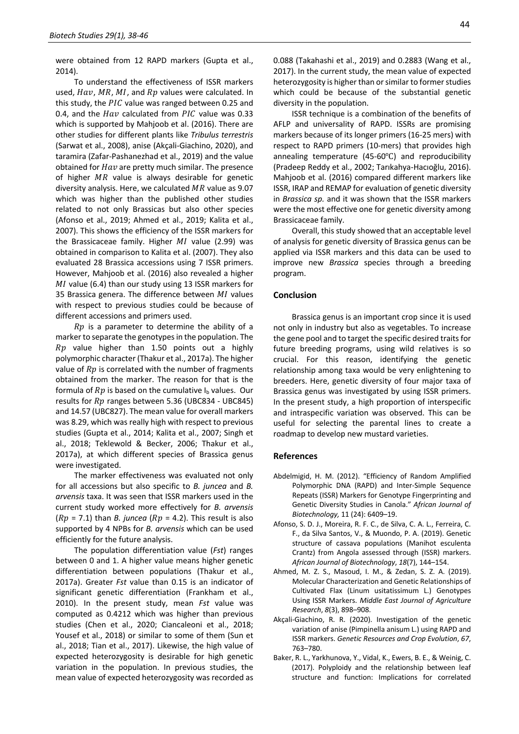were obtained from 12 RAPD markers (Gupta et al., 2014).

To understand the effectiveness of ISSR markers used,  $Hav$ ,  $MR$ ,  $MI$ , and  $Rp$  values were calculated. In this study, the  $PIC$  value was ranged between 0.25 and 0.4, and the  $Hav$  calculated from  $PIC$  value was 0.33 which is supported by Mahjoob et al. (2016). There are other studies for different plants like *Tribulus terrestris* (Sarwat et al., 2008), anise (Akçali-Giachino, 2020), and taramira (Zafar-Pashanezhad et al., 2019) and the value obtained for  $Hav$  are pretty much similar. The presence of higher  $MR$  value is always desirable for genetic diversity analysis. Here, we calculated  $MR$  value as 9.07 which was higher than the published other studies related to not only Brassicas but also other species (Afonso et al., 2019; Ahmed et al., 2019; Kalita et al., 2007). This shows the efficiency of the ISSR markers for the Brassicaceae family. Higher  $MI$  value (2.99) was obtained in comparison to Kalita et al. (2007). They also evaluated 28 Brassica accessions using 7 ISSR primers. However, Mahjoob et al. (2016) also revealed a higher  $MI$  value (6.4) than our study using 13 ISSR markers for 35 Brassica genera. The difference between  $MI$  values with respect to previous studies could be because of different accessions and primers used.

 $Rp$  is a parameter to determine the ability of a marker to separate the genotypes in the population. The  $Rp$  value higher than 1.50 points out a highly polymorphic character (Thakur et al., 2017a). The higher value of  $Rp$  is correlated with the number of fragments obtained from the marker. The reason for that is the formula of  $Rp$  is based on the cumulative  $I<sub>b</sub>$  values. Our results for  $Rp$  ranges between 5.36 (UBC834 - UBC845) and 14.57 (UBC827). The mean value for overall markers was 8.29, which was really high with respect to previous studies (Gupta et al., 2014; Kalita et al., 2007; Singh et al., 2018; Teklewold & Becker, 2006; Thakur et al., 2017a), at which different species of Brassica genus were investigated.

The marker effectiveness was evaluated not only for all accessions but also specific to *B. juncea* and *B. arvensis* taxa. It was seen that ISSR markers used in the current study worked more effectively for *B. arvensis*  $(Rp = 7.1)$  than *B. juncea*  $(Rp = 4.2)$ . This result is also supported by 4 NPBs for *B. arvensis* which can be used efficiently for the future analysis.

The population differentiation value (*Fst*) ranges between 0 and 1. A higher value means higher genetic differentiation between populations (Thakur et al., 2017a). Greater *Fst* value than 0.15 is an indicator of significant genetic differentiation (Frankham et al., 2010). In the present study, mean *Fst* value was computed as 0.4212 which was higher than previous studies (Chen et al., 2020; Ciancaleoni et al., 2018; Yousef et al., 2018) or similar to some of them (Sun et al., 2018; Tian et al., 2017). Likewise, the high value of expected heterozygosity is desirable for high genetic variation in the population. In previous studies, the mean value of expected heterozygosity was recorded as 0.088 (Takahashi et al., 2019) and 0.2883 (Wang et al., 2017). In the current study, the mean value of expected heterozygosity is higher than or similar to former studies which could be because of the substantial genetic diversity in the population.

ISSR technique is a combination of the benefits of AFLP and universality of RAPD. ISSRs are promising markers because of its longer primers (16-25 mers) with respect to RAPD primers (10-mers) that provides high annealing temperature (45-60℃) and reproducibility (Pradeep Reddy et al., 2002; Tarıkahya-Hacıoğlu, 2016). Mahjoob et al. (2016) compared different markers like ISSR, IRAP and REMAP for evaluation of genetic diversity in *Brassica sp.* and it was shown that the ISSR markers were the most effective one for genetic diversity among Brassicaceae family.

Overall, this study showed that an acceptable level of analysis for genetic diversity of Brassica genus can be applied via ISSR markers and this data can be used to improve new *Brassica* species through a breeding program.

#### **Conclusion**

Brassica genus is an important crop since it is used not only in industry but also as vegetables. To increase the gene pool and to target the specific desired traits for future breeding programs, using wild relatives is so crucial. For this reason, identifying the genetic relationship among taxa would be very enlightening to breeders. Here, genetic diversity of four major taxa of Brassica genus was investigated by using ISSR primers. In the present study, a high proportion of interspecific and intraspecific variation was observed. This can be useful for selecting the parental lines to create a roadmap to develop new mustard varieties.

#### **References**

- Abdelmigid, H. M. (2012). "Efficiency of Random Amplified Polymorphic DNA (RAPD) and Inter-Simple Sequence Repeats (ISSR) Markers for Genotype Fingerprinting and Genetic Diversity Studies in Canola." *African Journal of Biotechnology,* 11 (24): 6409–19.
- Afonso, S. D. J., Moreira, R. F. C., de Silva, C. A. L., Ferreira, C. F., da Silva Santos, V., & Muondo, P. A. (2019). Genetic structure of cassava populations (Manihot esculenta Crantz) from Angola assessed through (ISSR) markers. *African Journal of Biotechnology*, *18*(7), 144–154.
- Ahmed, M. Z. S., Masoud, I. M., & Zedan, S. Z. A. (2019). Molecular Characterization and Genetic Relationships of Cultivated Flax (Linum usitatissimum L.) Genotypes Using ISSR Markers. *Middle East Journal of Agriculture Research*, *8*(3), 898–908.
- Akçali-Giachino, R. R. (2020). Investigation of the genetic variation of anise (Pimpinella anisum L.) using RAPD and ISSR markers. *Genetic Resources and Crop Evolution*, *67*, 763–780.
- Baker, R. L., Yarkhunova, Y., Vidal, K., Ewers, B. E., & Weinig, C. (2017). Polyploidy and the relationship between leaf structure and function: Implications for correlated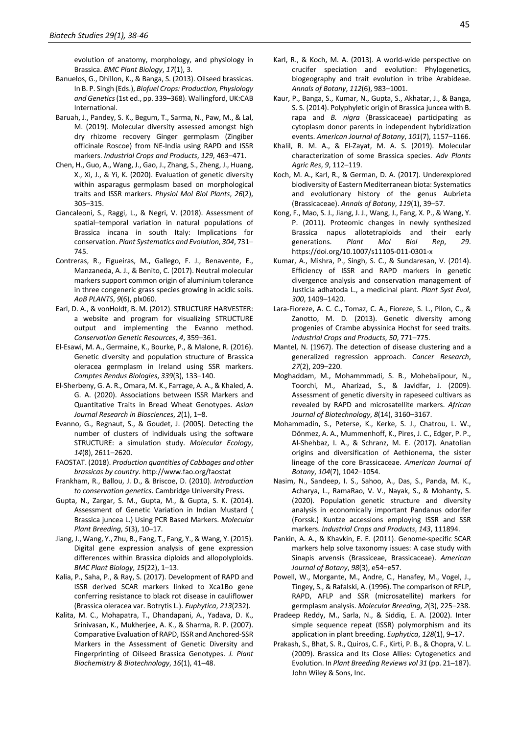evolution of anatomy, morphology, and physiology in Brassica. *BMC Plant Biology*, *17*(1), 3.

- Banuelos, G., Dhillon, K., & Banga, S. (2013). Oilseed brassicas. In B. P. Singh (Eds.), *Biofuel Crops: Production, Physiology and Genetics*(1st ed., pp. 339–368). Wallingford, UK:CAB International.
- Baruah, J., Pandey, S. K., Begum, T., Sarma, N., Paw, M., & Lal, M. (2019). Molecular diversity assessed amongst high dry rhizome recovery Ginger germplasm (Zingiber officinale Roscoe) from NE-India using RAPD and ISSR markers. *Industrial Crops and Products*, *129*, 463–471.
- Chen, H., Guo, A., Wang, J., Gao, J., Zhang, S., Zheng, J., Huang, X., Xi, J., & Yi, K. (2020). Evaluation of genetic diversity within asparagus germplasm based on morphological traits and ISSR markers. *Physiol Mol Biol Plants*, *26*(2), 305–315.
- Ciancaleoni, S., Raggi, L., & Negri, V. (2018). Assessment of spatial–temporal variation in natural populations of Brassica incana in south Italy: Implications for conservation. *Plant Systematics and Evolution*, *304*, 731– 745.
- Contreras, R., Figueiras, M., Gallego, F. J., Benavente, E., Manzaneda, A. J., & Benito, C. (2017). Neutral molecular markers support common origin of aluminium tolerance in three congeneric grass species growing in acidic soils. *AoB PLANTS*, *9*(6), plx060.
- Earl, D. A., & vonHoldt, B. M. (2012). STRUCTURE HARVESTER: a website and program for visualizing STRUCTURE output and implementing the Evanno method. *Conservation Genetic Resources*, *4*, 359–361.
- El-Esawi, M. A., Germaine, K., Bourke, P., & Malone, R. (2016). Genetic diversity and population structure of Brassica oleracea germplasm in Ireland using SSR markers. *Comptes Rendus Biologies*, *339*(3), 133–140.
- El-Sherbeny, G. A. R., Omara, M. K., Farrage, A. A., & Khaled, A. G. A. (2020). Associations between ISSR Markers and Quantitative Traits in Bread Wheat Genotypes. *Asian Journal Research in Biosciences*, *2*(1), 1–8.
- Evanno, G., Regnaut, S., & Goudet, J. (2005). Detecting the number of clusters of individuals using the software STRUCTURE: a simulation study. *Molecular Ecology*, *14*(8), 2611–2620.
- FAOSTAT. (2018). *Production quantities of Cabbages and other brassicas by country*. http://www.fao.org/faostat
- Frankham, R., Ballou, J. D., & Briscoe, D. (2010). *Introduction to conservation genetics*. Cambridge University Press.
- Gupta, N., Zargar, S. M., Gupta, M., & Gupta, S. K. (2014). Assessment of Genetic Variation in Indian Mustard ( Brassica juncea L.) Using PCR Based Markers. *Molecular Plant Breeding*, *5*(3), 10–17.
- Jiang, J., Wang, Y., Zhu, B., Fang, T., Fang, Y., & Wang, Y. (2015). Digital gene expression analysis of gene expression differences within Brassica diploids and allopolyploids. *BMC Plant Biology*, *15*(22), 1–13.
- Kalia, P., Saha, P., & Ray, S. (2017). Development of RAPD and ISSR derived SCAR markers linked to Xca1Bo gene conferring resistance to black rot disease in cauliflower (Brassica oleracea var. Botrytis L.). *Euphytica*, *213*(232).
- Kalita, M. C., Mohapatra, T., Dhandapani, A., Yadava, D. K., Srinivasan, K., Mukherjee, A. K., & Sharma, R. P. (2007). Comparative Evaluation of RAPD, ISSR and Anchored-SSR Markers in the Assessment of Genetic Diversity and Fingerprinting of Oilseed Brassica Genotypes. *J. Plant Biochemistry & Biotechnology*, *16*(1), 41–48.
- Karl, R., & Koch, M. A. (2013). A world-wide perspective on crucifer speciation and evolution: Phylogenetics, biogeography and trait evolution in tribe Arabideae. *Annals of Botany*, *112*(6), 983–1001.
- Kaur, P., Banga, S., Kumar, N., Gupta, S., Akhatar, J., & Banga, S. S. (2014). Polyphyletic origin of Brassica juncea with B. rapa and *B. nigra* (Brassicaceae) participating as cytoplasm donor parents in independent hybridization events. *American Journal of Botany*, *101*(7), 1157–1166.
- Khalil, R. M. A., & El-Zayat, M. A. S. (2019). Molecular characterization of some Brassica species. *Adv Plants Agric Res*, *9*, 112–119.
- Koch, M. A., Karl, R., & German, D. A. (2017). Underexplored biodiversity of Eastern Mediterranean biota: Systematics and evolutionary history of the genus Aubrieta (Brassicaceae). *Annals of Botany*, *119*(1), 39–57.
- Kong, F., Mao, S. J., Jiang, J. J., Wang, J., Fang, X. P., & Wang, Y. P. (2011). Proteomic changes in newly synthesized Brassica napus allotetraploids and their early generations. *Plant Mol Biol Rep*, *29*. https://doi.org/10.1007/s11105-011-0301-x
- Kumar, A., Mishra, P., Singh, S. C., & Sundaresan, V. (2014). Efficiency of ISSR and RAPD markers in genetic divergence analysis and conservation management of Justicia adhatoda L., a medicinal plant. *Plant Syst Evol*, *300*, 1409–1420.
- Lara-Fioreze, A. C. C., Tomaz, C. A., Fioreze, S. L., Pilon, C., & Zanotto, M. D. (2013). Genetic diversity among progenies of Crambe abyssinica Hochst for seed traits. *Industrial Crops and Products*, *50*, 771–775.
- Mantel, N. (1967). The detection of disease clustering and a generalized regression approach. *Cancer Research*, *27*(2), 209–220.
- Moghaddam, M., Mohammmadi, S. B., Mohebalipour, N., Toorchi, M., Aharizad, S., & Javidfar, J. (2009). Assessment of genetic diversity in rapeseed cultivars as revealed by RAPD and microsatellite markers. *African Journal of Biotechnology*, *8*(14), 3160–3167.
- Mohammadin, S., Peterse, K., Kerke, S. J., Chatrou, L. W., Dönmez, A. A., Mummenhoff, K., Pires, J. C., Edger, P. P., Al-Shehbaz, I. A., & Schranz, M. E. (2017). Anatolian origins and diversification of Aethionema, the sister lineage of the core Brassicaceae. *American Journal of Botany*, *104*(7), 1042–1054.
- Nasim, N., Sandeep, I. S., Sahoo, A., Das, S., Panda, M. K., Acharya, L., RamaRao, V. V., Nayak, S., & Mohanty, S. (2020). Population genetic structure and diversity analysis in economically important Pandanus odorifer (Forssk.) Kuntze accessions employing ISSR and SSR markers. *Industrial Crops and Products*, *143*, 111894.
- Pankin, A. A., & Khavkin, E. E. (2011). Genome-specific SCAR markers help solve taxonomy issues: A case study with Sinapis arvensis (Brassiceae, Brassicaceae). *American Journal of Botany*, *98*(3), e54–e57.
- Powell, W., Morgante, M., Andre, C., Hanafey, M., Vogel, J., Tingey, S., & Rafalski, A. (1996). The comparison of RFLP, RAPD, AFLP and SSR (microsatellite) markers for germplasm analysis. *Molecular Breeding*, *2*(3), 225–238.
- Pradeep Reddy, M., Sarla, N., & Siddiq, E. A. (2002). Inter simple sequence repeat (ISSR) polymorphism and its application in plant breeding. *Euphytica*, *128*(1), 9–17.
- Prakash, S., Bhat, S. R., Quiros, C. F., Kirti, P. B., & Chopra, V. L. (2009). Brassica and Its Close Allies: Cytogenetics and Evolution. In *Plant Breeding Reviews vol 31* (pp. 21–187). John Wiley & Sons, Inc.